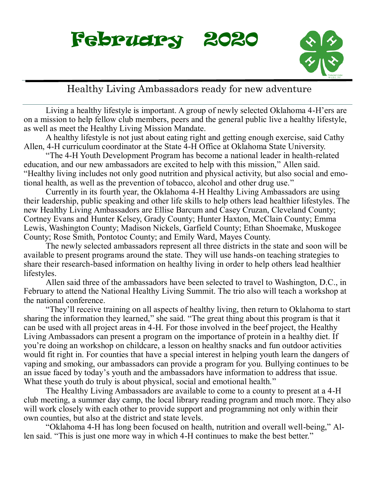



### Healthy Living Ambassadors ready for new adventure

Living a healthy lifestyle is important. A group of newly selected Oklahoma 4-H'ers are on a mission to help fellow club members, peers and the general public live a healthy lifestyle, as well as meet the Healthy Living Mission Mandate.

A healthy lifestyle is not just about eating right and getting enough exercise, said Cathy Allen, 4-H curriculum coordinator at the State 4-H Office at Oklahoma State University.

"The 4-H Youth Development Program has become a national leader in health-related education, and our new ambassadors are excited to help with this mission," Allen said. "Healthy living includes not only good nutrition and physical activity, but also social and emotional health, as well as the prevention of tobacco, alcohol and other drug use."

Currently in its fourth year, the Oklahoma 4-H Healthy Living Ambassadors are using their leadership, public speaking and other life skills to help others lead healthier lifestyles. The new Healthy Living Ambassadors are Ellise Barcum and Casey Cruzan, Cleveland County; Cortney Evans and Hunter Kelsey, Grady County; Hunter Haxton, McClain County; Emma Lewis, Washington County; Madison Nickels, Garfield County; Ethan Shoemake, Muskogee County; Rose Smith, Pontotoc County; and Emily Ward, Mayes County.

The newly selected ambassadors represent all three districts in the state and soon will be available to present programs around the state. They will use hands-on teaching strategies to share their research-based information on healthy living in order to help others lead healthier lifestyles.

Allen said three of the ambassadors have been selected to travel to Washington, D.C., in February to attend the National Healthy Living Summit. The trio also will teach a workshop at the national conference.

"They'll receive training on all aspects of healthy living, then return to Oklahoma to start sharing the information they learned," she said. "The great thing about this program is that it can be used with all project areas in 4-H. For those involved in the beef project, the Healthy Living Ambassadors can present a program on the importance of protein in a healthy diet. If you're doing an workshop on childcare, a lesson on healthy snacks and fun outdoor activities would fit right in. For counties that have a special interest in helping youth learn the dangers of vaping and smoking, our ambassadors can provide a program for you. Bullying continues to be an issue faced by today's youth and the ambassadors have information to address that issue. What these youth do truly is about physical, social and emotional health."

The Healthy Living Ambassadors are available to come to a county to present at a 4-H club meeting, a summer day camp, the local library reading program and much more. They also will work closely with each other to provide support and programming not only within their own counties, but also at the district and state levels.

"Oklahoma 4-H has long been focused on health, nutrition and overall well-being," Allen said. "This is just one more way in which 4-H continues to make the best better."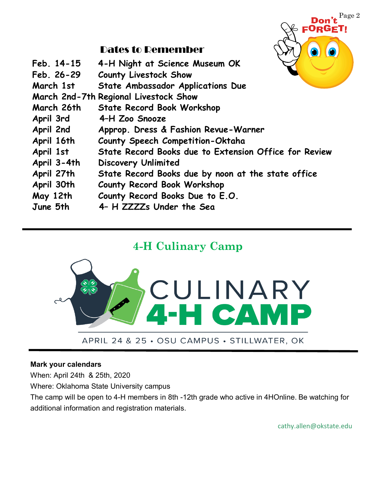

### Dates to Remember

| Feb. 14-15<br>Feb. 26-29 | 4-H Night at Science Museum OK<br><b>County Livestock Show</b> |
|--------------------------|----------------------------------------------------------------|
| March 1st                | State Ambassador Applications Due                              |
|                          | March 2nd-7th Regional Livestock Show                          |
| March 26th               | <b>State Record Book Workshop</b>                              |
| April 3rd                | 4-H Zoo Snooze                                                 |
| April 2nd                | Approp. Dress & Fashion Revue-Warner                           |
| April 16th               | County Speech Competition-Oktaha                               |
| April 1st                | State Record Books due to Extension Office for Review          |
| April 3-4th              | <b>Discovery Unlimited</b>                                     |
| April 27th               | State Record Books due by noon at the state office             |
| April 30th               | County Record Book Workshop                                    |
| May 12th                 | County Record Books Due to E.O.                                |
| June 5th                 | 4- H ZZZZs Under the Sea                                       |

## **4-H Culinary Camp**



#### **Mark your calendars**

When: April 24th & 25th, 2020

Where: Oklahoma State University campus

The camp will be open to 4-H members in 8th -12th grade who active in 4HOnline. Be watching for additional information and registration materials.

cathy.allen@okstate.edu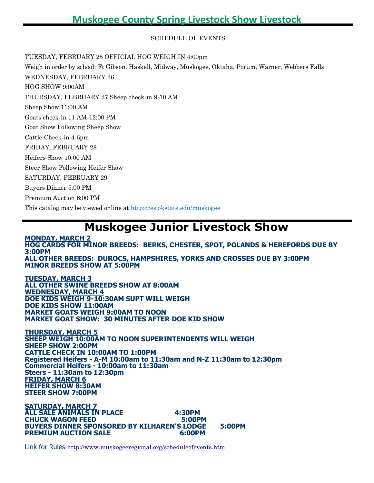SCHEDULE OF EVENTS

TUESDAY, FEBRUARY 25 OFFICIAL HOG WEIGH IN 4:00pm

Weigh in order by school: Ft Gibson, Haskell, Midway, Muskogee, Oktaha, Porum, Warner, Webbers Falls WEDNESDAY, FEBRUARY 26 HOG SHOW 9:00AM THURSDAY, FEBRUARY 27 Sheep check-in 9-10 AM Sheep Show 11:00 AM Goats check-in 11 AM-12:00 PM Goat Show Following Sheep Show Cattle Check-in 4-6pm FRIDAY, FEBRUARY 28 Heifers Show 10:00 AM Steer Show Following Heifer Show SATURDAY, FEBRUARY 29 Buyers Dinner 5:00 PM Premium Auction 6:00 PM This catalog may be viewed online at http:oces.okstate.edu/muskogee

## **Muskogee Junior Livestock Show**

**MONDAY, MARCH 2 HOG CARDS FOR MINOR BREEDS: BERKS, CHESTER, SPOT, POLANDS & HEREFORDS DUE BY 3:00PM ALL OTHER BREEDS: DUROCS, HAMPSHIRES, YORKS AND CROSSES DUE BY 3:00PM MINOR BREEDS SHOW AT 5:00PM**

**TUESDAY, MARCH 3 ALL OTHER SWINE BREEDS SHOW AT 8:00AM WEDNESDAY, MARCH 4 DOE KIDS WEIGH 9-10:30AM SUPT WILL WEIGH DOE KIDS SHOW 11:00AM MARKET GOATS WEIGH 9:00AM TO NOON MARKET GOAT SHOW: 30 MINUTES AFTER DOE KID SHOW**

**THURSDAY, MARCH 5 SHEEP WEIGH 10:00AM TO NOON SUPERINTENDENTS WILL WEIGH SHEEP SHOW 2:00PM CATTLE CHECK IN 10:00AM TO 1:00PM Registered Heifers - A-M 10:00am to 11:30am and N-Z 11:30am to 12:30pm Commercial Heifers - 10:00am to 11:30am Steers - 11:30am to 12:30pm FRIDAY, MARCH 6 HEIFER SHOW 8:30AM STEER SHOW 7:00PM**

**SATURDAY, MARCH 7 ALL SALE ANIMALS IN PLACE 4:30PM CHUCK WAGON FEED 5:00PM BUYERS DINNER SPONSORED BY KILHAREN'S LODGE 5:00PM PREMIUM AUCTION SALE 6:00PM**

Link for Rules <http://www.muskogeeregional.org/scheduleofevents.html>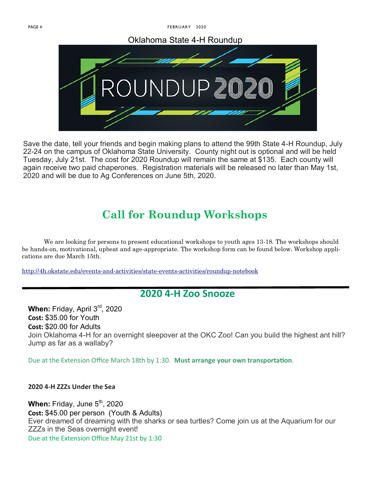PAGE 4 FEBRUARY 2020

#### Oklahoma State 4-H Roundup



Save the date, tell your friends and begin making plans to attend the 99th State 4-H Roundup, July 22-24 on the campus of Oklahoma State University. County night out is optional and will be held Tuesday, July 21st. The cost for 2020 Roundup will remain the same at \$135. Each county will again receive two paid chaperones. Registration materials will be released no later than May 1st, 2020 and will be due to Ag Conferences on June 5th, 2020.

# **Call for Roundup Workshops**

We are looking for persons to present educational workshops to youth ages 13-18. The workshops should be hands-on, motivational, upbeat and age-appropriate. The workshop form can be found below. Workshop applications are due March 15th.

<http://4h.okstate.edu/events-and-activities/state-events-activities/roundup-notebook>

#### **2020 4-H Zoo Snooze**

When: Friday, April 3<sup>rd</sup>, 2020 **Cost:** \$35.00 for Youth **Cost:** \$20.00 for Adults Join Oklahoma 4-H for an overnight sleepover at the OKC Zoo! Can you build the highest ant hill? Jump as far as a wallaby?

Due at the Extension Office March 18th by 1:30. **Must arrange your own transportation**.

**2020 4-H ZZZs Under the Sea**

**When:** Friday, June 5<sup>th</sup>, 2020 **Cost:** \$45.00 per person (Youth & Adults) Ever dreamed of dreaming with the sharks or sea turtles? Come join us at the Aquarium for our ZZZs in the Seas overnight event! Due at the Extension Office May 21st by 1:30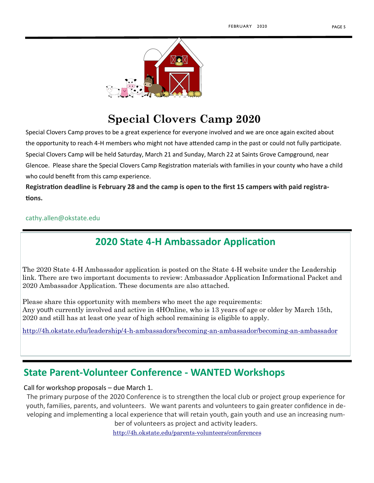

## **Special Clovers Camp 2020**

Special Clovers Camp proves to be a great experience for everyone involved and we are once again excited about the opportunity to reach 4-H members who might not have attended camp in the past or could not fully participate. Special Clovers Camp will be held Saturday, March 21 and Sunday, March 22 at Saints Grove Campground, near Glencoe. Please share the Special Clovers Camp Registration materials with families in your county who have a child who could benefit from this camp experience.

**Registration deadline is February 28 and the camp is open to the first 15 campers with paid registrations.**

cathy.allen@okstate.edu

## **2020 State 4-H Ambassador Application**

The 2020 State 4-H Ambassador application is posted on the State 4-H website under the Leadership link. There are two important documents to review: Ambassador Application Informational Packet and 2020 Ambassador Application. These documents are also attached.

Please share this opportunity with members who meet the age requirements: Any youth currently involved and active in 4HOnline, who is 13 years of age or older by March 15th, 2020 and still has at least one year of high school remaining is eligible to apply.

<http://4h.okstate.edu/leadership/4-h-ambassadors/becoming-an-ambassador/becoming-an-ambassador>

#### **State Parent-Volunteer Conference - WANTED Workshops**

Call for workshop proposals – due March 1.

The primary purpose of the 2020 Conference is to strengthen the local club or project group experience for youth, families, parents, and volunteers. We want parents and volunteers to gain greater confidence in developing and implementing a local experience that will retain youth, gain youth and use an increasing num-

ber of volunteers as project and activity leaders. <http://4h.okstate.edu/parents-volunteers/conferences>